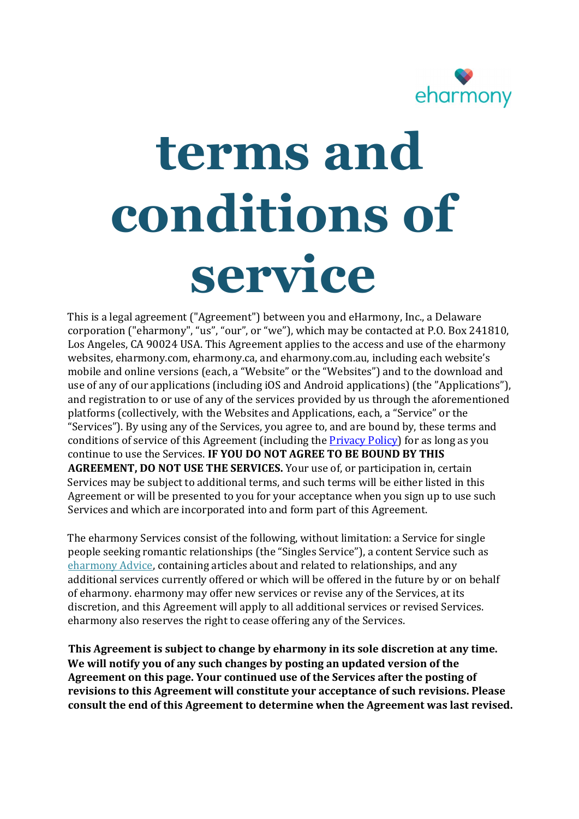

# terms and conditions of service

This is a legal agreement ("Agreement") between you and eHarmony, Inc., a Delaware corporation ("eharmony", "us", "our", or "we"), which may be contacted at P.O. Box 241810, Los Angeles, CA 90024 USA. This Agreement applies to the access and use of the eharmony websites, eharmony.com, eharmony.ca, and eharmony.com.au, including each website's mobile and online versions (each, a "Website" or the "Websites") and to the download and use of any of our applications (including iOS and Android applications) (the "Applications"), and registration to or use of any of the services provided by us through the aforementioned platforms (collectively, with the Websites and Applications, each, a "Service" or the "Services"). By using any of the Services, you agree to, and are bound by, these terms and conditions of service of this Agreement (including the **Privacy Policy**) for as long as you continue to use the Services. IF YOU DO NOT AGREE TO BE BOUND BY THIS AGREEMENT, DO NOT USE THE SERVICES. Your use of, or participation in, certain Services may be subject to additional terms, and such terms will be either listed in this Agreement or will be presented to you for your acceptance when you sign up to use such Services and which are incorporated into and form part of this Agreement.

 The eharmony Services consist of the following, without limitation: a Service for single people seeking romantic relationships (the "Singles Service"), a content Service such as eharmony Advice, containing articles about and related to relationships, and any additional services currently offered or which will be offered in the future by or on behalf of eharmony. eharmony may offer new services or revise any of the Services, at its discretion, and this Agreement will apply to all additional services or revised Services. eharmony also reserves the right to cease offering any of the Services.

This Agreement is subject to change by eharmony in its sole discretion at any time. We will notify you of any such changes by posting an updated version of the Agreement on this page. Your continued use of the Services after the posting of revisions to this Agreement will constitute your acceptance of such revisions. Please consult the end of this Agreement to determine when the Agreement was last revised.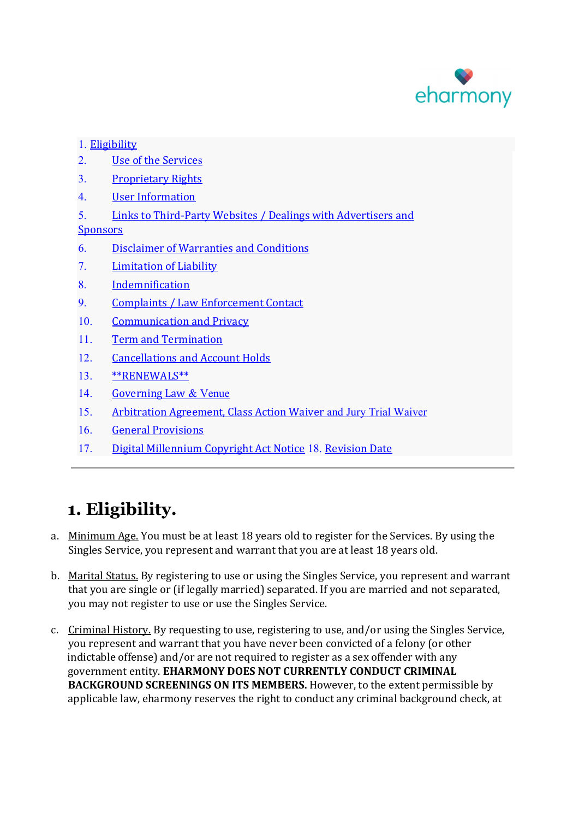

#### 1. Eligibility

- 2. Use of the Services
- 3. Proprietary Rights
- 4. User Information
- 5. Links to Third-Party Websites / Dealings with Advertisers and

#### **Sponsors**

- 6. Disclaimer of Warranties and Conditions
- 7. Limitation of Liability
- 8. Indemnification
- 9. Complaints / Law Enforcement Contact
- 10. Communication and Privacy
- 11. Term and Termination
- 12. Cancellations and Account Holds
- 13. \*\*RENEWALS\*\*
- 14. Governing Law & Venue
- 15. Arbitration Agreement, Class Action Waiver and Jury Trial Waiver
- 16. General Provisions
- 17. Digital Millennium Copyright Act Notice 18. Revision Date

# 1. Eligibility.

- a. Minimum Age. You must be at least 18 years old to register for the Services. By using the Singles Service, you represent and warrant that you are at least 18 years old.
- b. Marital Status. By registering to use or using the Singles Service, you represent and warrant that you are single or (if legally married) separated. If you are married and not separated, you may not register to use or use the Singles Service.
- c. Criminal History. By requesting to use, registering to use, and/or using the Singles Service, you represent and warrant that you have never been convicted of a felony (or other indictable offense) and/or are not required to register as a sex offender with any government entity. EHARMONY DOES NOT CURRENTLY CONDUCT CRIMINAL BACKGROUND SCREENINGS ON ITS MEMBERS. However, to the extent permissible by applicable law, eharmony reserves the right to conduct any criminal background check, at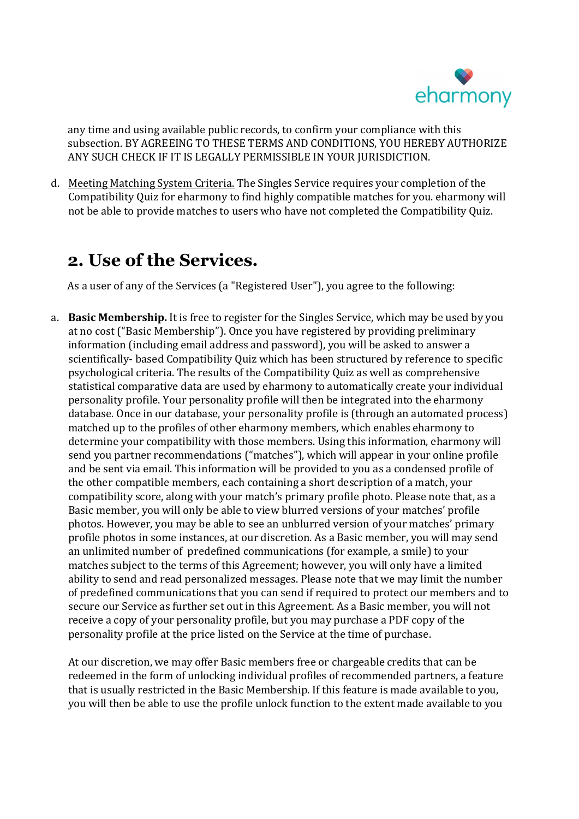

any time and using available public records, to confirm your compliance with this subsection. BY AGREEING TO THESE TERMS AND CONDITIONS, YOU HEREBY AUTHORIZE ANY SUCH CHECK IF IT IS LEGALLY PERMISSIBLE IN YOUR JURISDICTION.

d. Meeting Matching System Criteria. The Singles Service requires your completion of the Compatibility Quiz for eharmony to find highly compatible matches for you. eharmony will not be able to provide matches to users who have not completed the Compatibility Quiz.

### 2. Use of the Services.

As a user of any of the Services (a "Registered User"), you agree to the following:

a. Basic Membership. It is free to register for the Singles Service, which may be used by you at no cost ("Basic Membership"). Once you have registered by providing preliminary information (including email address and password), you will be asked to answer a scientifically- based Compatibility Quiz which has been structured by reference to specific psychological criteria. The results of the Compatibility Quiz as well as comprehensive statistical comparative data are used by eharmony to automatically create your individual personality profile. Your personality profile will then be integrated into the eharmony database. Once in our database, your personality profile is (through an automated process) matched up to the profiles of other eharmony members, which enables eharmony to determine your compatibility with those members. Using this information, eharmony will send you partner recommendations ("matches"), which will appear in your online profile and be sent via email. This information will be provided to you as a condensed profile of the other compatible members, each containing a short description of a match, your compatibility score, along with your match's primary profile photo. Please note that, as a Basic member, you will only be able to view blurred versions of your matches' profile photos. However, you may be able to see an unblurred version of your matches' primary profile photos in some instances, at our discretion. As a Basic member, you will may send an unlimited number of predefined communications (for example, a smile) to your matches subject to the terms of this Agreement; however, you will only have a limited ability to send and read personalized messages. Please note that we may limit the number of predefined communications that you can send if required to protect our members and to secure our Service as further set out in this Agreement. As a Basic member, you will not receive a copy of your personality profile, but you may purchase a PDF copy of the personality profile at the price listed on the Service at the time of purchase.

At our discretion, we may offer Basic members free or chargeable credits that can be redeemed in the form of unlocking individual profiles of recommended partners, a feature that is usually restricted in the Basic Membership. If this feature is made available to you, you will then be able to use the profile unlock function to the extent made available to you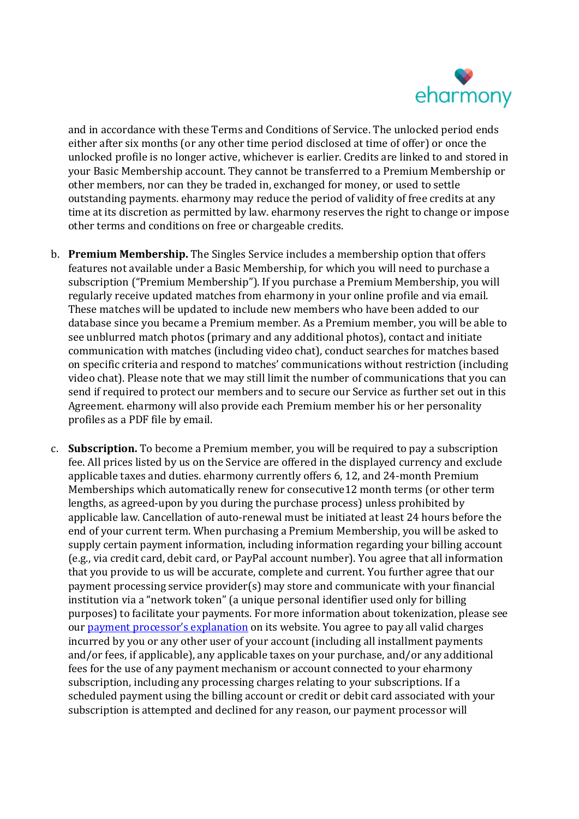

and in accordance with these Terms and Conditions of Service. The unlocked period ends either after six months (or any other time period disclosed at time of offer) or once the unlocked profile is no longer active, whichever is earlier. Credits are linked to and stored in your Basic Membership account. They cannot be transferred to a Premium Membership or other members, nor can they be traded in, exchanged for money, or used to settle outstanding payments. eharmony may reduce the period of validity of free credits at any time at its discretion as permitted by law. eharmony reserves the right to change or impose other terms and conditions on free or chargeable credits.

- b. Premium Membership. The Singles Service includes a membership option that offers features not available under a Basic Membership, for which you will need to purchase a subscription ("Premium Membership"). If you purchase a Premium Membership, you will regularly receive updated matches from eharmony in your online profile and via email. These matches will be updated to include new members who have been added to our database since you became a Premium member. As a Premium member, you will be able to see unblurred match photos (primary and any additional photos), contact and initiate communication with matches (including video chat), conduct searches for matches based on specific criteria and respond to matches' communications without restriction (including video chat). Please note that we may still limit the number of communications that you can send if required to protect our members and to secure our Service as further set out in this Agreement. eharmony will also provide each Premium member his or her personality profiles as a PDF file by email.
- c. Subscription. To become a Premium member, you will be required to pay a subscription fee. All prices listed by us on the Service are offered in the displayed currency and exclude applicable taxes and duties. eharmony currently offers 6, 12, and 24-month Premium Memberships which automatically renew for consecutive12 month terms (or other term lengths, as agreed-upon by you during the purchase process) unless prohibited by applicable law. Cancellation of auto-renewal must be initiated at least 24 hours before the end of your current term. When purchasing a Premium Membership, you will be asked to supply certain payment information, including information regarding your billing account (e.g., via credit card, debit card, or PayPal account number). You agree that all information that you provide to us will be accurate, complete and current. You further agree that our payment processing service provider(s) may store and communicate with your financial institution via a "network token" (a unique personal identifier used only for billing purposes) to facilitate your payments. For more information about tokenization, please see our payment processor's explanation on its website. You agree to pay all valid charges incurred by you or any other user of your account (including all installment payments and/or fees, if applicable), any applicable taxes on your purchase, and/or any additional fees for the use of any payment mechanism or account connected to your eharmony subscription, including any processing charges relating to your subscriptions. If a scheduled payment using the billing account or credit or debit card associated with your subscription is attempted and declined for any reason, our payment processor will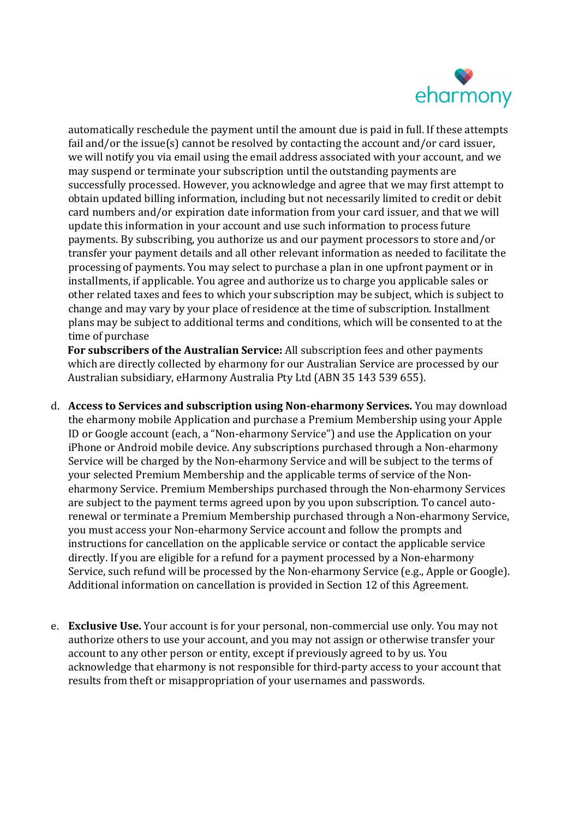

automatically reschedule the payment until the amount due is paid in full. If these attempts fail and/or the issue(s) cannot be resolved by contacting the account and/or card issuer, we will notify you via email using the email address associated with your account, and we may suspend or terminate your subscription until the outstanding payments are successfully processed. However, you acknowledge and agree that we may first attempt to obtain updated billing information, including but not necessarily limited to credit or debit card numbers and/or expiration date information from your card issuer, and that we will update this information in your account and use such information to process future payments. By subscribing, you authorize us and our payment processors to store and/or transfer your payment details and all other relevant information as needed to facilitate the processing of payments. You may select to purchase a plan in one upfront payment or in installments, if applicable. You agree and authorize us to charge you applicable sales or other related taxes and fees to which your subscription may be subject, which is subject to change and may vary by your place of residence at the time of subscription. Installment plans may be subject to additional terms and conditions, which will be consented to at the time of purchase

For subscribers of the Australian Service: All subscription fees and other payments which are directly collected by eharmony for our Australian Service are processed by our Australian subsidiary, eHarmony Australia Pty Ltd (ABN 35 143 539 655).

- d. Access to Services and subscription using Non-eharmony Services. You may download the eharmony mobile Application and purchase a Premium Membership using your Apple ID or Google account (each, a "Non-eharmony Service") and use the Application on your iPhone or Android mobile device. Any subscriptions purchased through a Non-eharmony Service will be charged by the Non-eharmony Service and will be subject to the terms of your selected Premium Membership and the applicable terms of service of the Noneharmony Service. Premium Memberships purchased through the Non-eharmony Services are subject to the payment terms agreed upon by you upon subscription. To cancel autorenewal or terminate a Premium Membership purchased through a Non-eharmony Service, you must access your Non-eharmony Service account and follow the prompts and instructions for cancellation on the applicable service or contact the applicable service directly. If you are eligible for a refund for a payment processed by a Non-eharmony Service, such refund will be processed by the Non-eharmony Service (e.g., Apple or Google). Additional information on cancellation is provided in Section 12 of this Agreement.
- e. Exclusive Use. Your account is for your personal, non-commercial use only. You may not authorize others to use your account, and you may not assign or otherwise transfer your account to any other person or entity, except if previously agreed to by us. You acknowledge that eharmony is not responsible for third-party access to your account that results from theft or misappropriation of your usernames and passwords.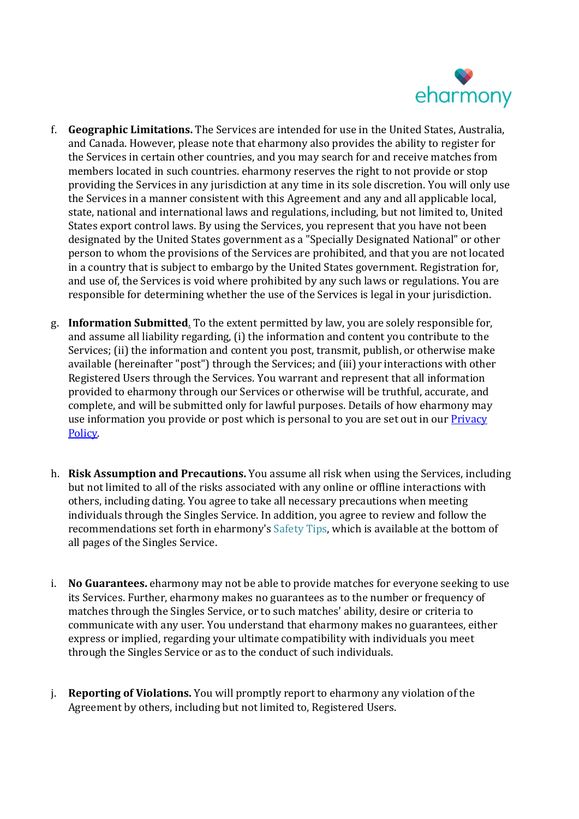

- f. Geographic Limitations. The Services are intended for use in the United States, Australia, and Canada. However, please note that eharmony also provides the ability to register for the Services in certain other countries, and you may search for and receive matches from members located in such countries. eharmony reserves the right to not provide or stop providing the Services in any jurisdiction at any time in its sole discretion. You will only use the Services in a manner consistent with this Agreement and any and all applicable local, state, national and international laws and regulations, including, but not limited to, United States export control laws. By using the Services, you represent that you have not been designated by the United States government as a "Specially Designated National" or other person to whom the provisions of the Services are prohibited, and that you are not located in a country that is subject to embargo by the United States government. Registration for, and use of, the Services is void where prohibited by any such laws or regulations. You are responsible for determining whether the use of the Services is legal in your jurisdiction.
- g. Information Submitted. To the extent permitted by law, you are solely responsible for, and assume all liability regarding, (i) the information and content you contribute to the Services; (ii) the information and content you post, transmit, publish, or otherwise make available (hereinafter "post") through the Services; and (iii) your interactions with other Registered Users through the Services. You warrant and represent that all information provided to eharmony through our Services or otherwise will be truthful, accurate, and complete, and will be submitted only for lawful purposes. Details of how eharmony may use information you provide or post which is personal to you are set out in our **Privacy** Policy.<br>h. **Risk Assumption and Precautions.** You assume all risk when using the Services, including
- but not limited to all of the risks associated with any online or offline interactions with others, including dating. You agree to take all necessary precautions when meeting individuals through the Singles Service. In addition, you agree to review and follow the recommendations set forth in eharmony's Safety Tips, which is available at the bottom of all pages of the Singles Service.
- i. No Guarantees. eharmony may not be able to provide matches for everyone seeking to use its Services. Further, eharmony makes no guarantees as to the number or frequency of matches through the Singles Service, or to such matches' ability, desire or criteria to communicate with any user. You understand that eharmony makes no guarantees, either express or implied, regarding your ultimate compatibility with individuals you meet through the Singles Service or as to the conduct of such individuals.
- j. Reporting of Violations. You will promptly report to eharmony any violation of the Agreement by others, including but not limited to, Registered Users.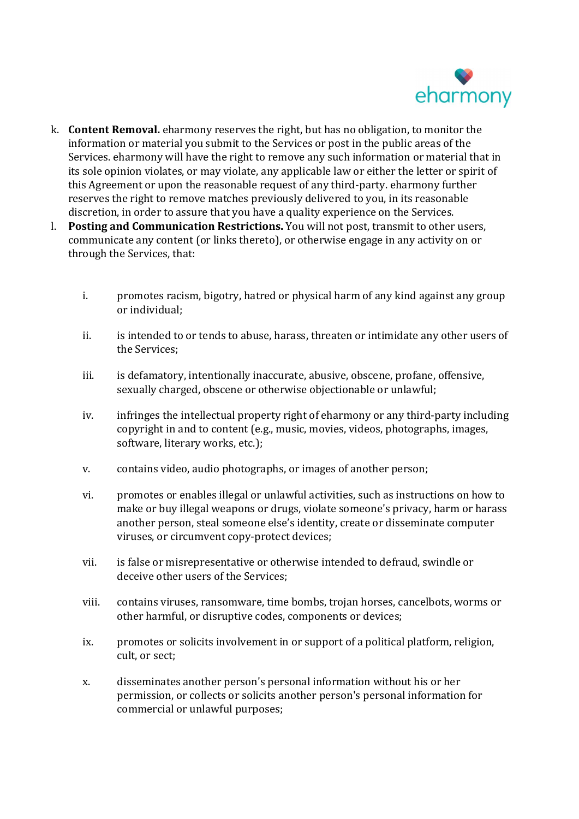

- k. Content Removal. eharmony reserves the right, but has no obligation, to monitor the information or material you submit to the Services or post in the public areas of the Services. eharmony will have the right to remove any such information or material that in its sole opinion violates, or may violate, any applicable law or either the letter or spirit of this Agreement or upon the reasonable request of any third-party. eharmony further reserves the right to remove matches previously delivered to you, in its reasonable discretion, in order to assure that you have a quality experience on the Services.
- l. Posting and Communication Restrictions. You will not post, transmit to other users, communicate any content (or links thereto), or otherwise engage in any activity on or through the Services, that:
	- i. promotes racism, bigotry, hatred or physical harm of any kind against any group or individual;
	- ii. is intended to or tends to abuse, harass, threaten or intimidate any other users of the Services;
	- iii. is defamatory, intentionally inaccurate, abusive, obscene, profane, offensive, sexually charged, obscene or otherwise objectionable or unlawful;
	- iv. infringes the intellectual property right of eharmony or any third-party including copyright in and to content (e.g., music, movies, videos, photographs, images, software, literary works, etc.);
	- v. contains video, audio photographs, or images of another person;
	- vi. promotes or enables illegal or unlawful activities, such as instructions on how to make or buy illegal weapons or drugs, violate someone's privacy, harm or harass another person, steal someone else's identity, create or disseminate computer viruses, or circumvent copy-protect devices;
	- vii. is false or misrepresentative or otherwise intended to defraud, swindle or deceive other users of the Services;
	- viii. contains viruses, ransomware, time bombs, trojan horses, cancelbots, worms or other harmful, or disruptive codes, components or devices;
	- ix. promotes or solicits involvement in or support of a political platform, religion, cult, or sect;
	- x. disseminates another person's personal information without his or her permission, or collects or solicits another person's personal information for commercial or unlawful purposes;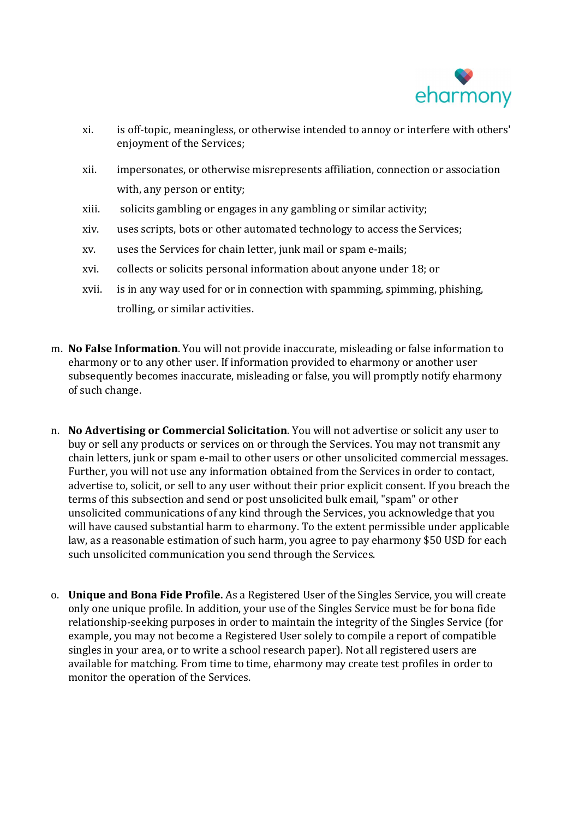

- xi. is off-topic, meaningless, or otherwise intended to annoy or interfere with others' enjoyment of the Services;
- xii. impersonates, or otherwise misrepresents affiliation, connection or association with, any person or entity;
- xiii. solicits gambling or engages in any gambling or similar activity;
- xiv. uses scripts, bots or other automated technology to access the Services;
- xv. uses the Services for chain letter, junk mail or spam e-mails;
- xvi. collects or solicits personal information about anyone under 18; or
- xvii. is in any way used for or in connection with spamming, spimming, phishing, trolling, or similar activities.
- m. No False Information. You will not provide inaccurate, misleading or false information to eharmony or to any other user. If information provided to eharmony or another user subsequently becomes inaccurate, misleading or false, you will promptly notify eharmony of such change.
- n. No Advertising or Commercial Solicitation. You will not advertise or solicit any user to buy or sell any products or services on or through the Services. You may not transmit any chain letters, junk or spam e-mail to other users or other unsolicited commercial messages. Further, you will not use any information obtained from the Services in order to contact, advertise to, solicit, or sell to any user without their prior explicit consent. If you breach the terms of this subsection and send or post unsolicited bulk email, "spam" or other unsolicited communications of any kind through the Services, you acknowledge that you will have caused substantial harm to eharmony. To the extent permissible under applicable law, as a reasonable estimation of such harm, you agree to pay eharmony \$50 USD for each such unsolicited communication you send through the Services.
- o. Unique and Bona Fide Profile. As a Registered User of the Singles Service, you will create only one unique profile. In addition, your use of the Singles Service must be for bona fide relationship-seeking purposes in order to maintain the integrity of the Singles Service (for example, you may not become a Registered User solely to compile a report of compatible singles in your area, or to write a school research paper). Not all registered users are available for matching. From time to time, eharmony may create test profiles in order to monitor the operation of the Services.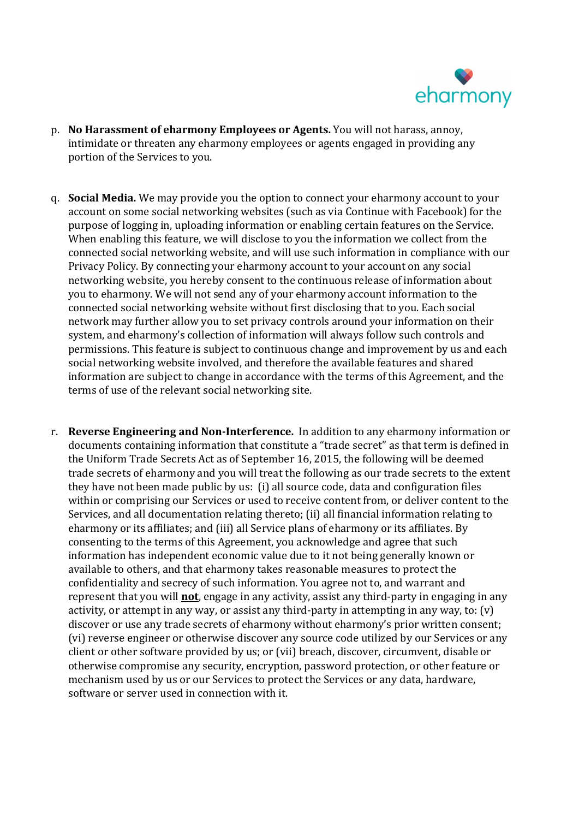

- p. No Harassment of eharmony Employees or Agents. You will not harass, annoy, intimidate or threaten any eharmony employees or agents engaged in providing any portion of the Services to you.
- q. Social Media. We may provide you the option to connect your eharmony account to your account on some social networking websites (such as via Continue with Facebook) for the purpose of logging in, uploading information or enabling certain features on the Service. When enabling this feature, we will disclose to you the information we collect from the connected social networking website, and will use such information in compliance with our Privacy Policy. By connecting your eharmony account to your account on any social networking website, you hereby consent to the continuous release of information about you to eharmony. We will not send any of your eharmony account information to the connected social networking website without first disclosing that to you. Each social network may further allow you to set privacy controls around your information on their system, and eharmony's collection of information will always follow such controls and permissions. This feature is subject to continuous change and improvement by us and each social networking website involved, and therefore the available features and shared information are subject to change in accordance with the terms of this Agreement, and the terms of use of the relevant social networking site.
- r. Reverse Engineering and Non-Interference. In addition to any eharmony information or documents containing information that constitute a "trade secret" as that term is defined in the Uniform Trade Secrets Act as of September 16, 2015, the following will be deemed trade secrets of eharmony and you will treat the following as our trade secrets to the extent they have not been made public by us: (i) all source code, data and configuration files within or comprising our Services or used to receive content from, or deliver content to the Services, and all documentation relating thereto; (ii) all financial information relating to eharmony or its affiliates; and (iii) all Service plans of eharmony or its affiliates. By consenting to the terms of this Agreement, you acknowledge and agree that such information has independent economic value due to it not being generally known or available to others, and that eharmony takes reasonable measures to protect the confidentiality and secrecy of such information. You agree not to, and warrant and represent that you will **not**, engage in any activity, assist any third-party in engaging in any activity, or attempt in any way, or assist any third-party in attempting in any way, to: (v) discover or use any trade secrets of eharmony without eharmony's prior written consent; (vi) reverse engineer or otherwise discover any source code utilized by our Services or any client or other software provided by us; or (vii) breach, discover, circumvent, disable or otherwise compromise any security, encryption, password protection, or other feature or mechanism used by us or our Services to protect the Services or any data, hardware, software or server used in connection with it.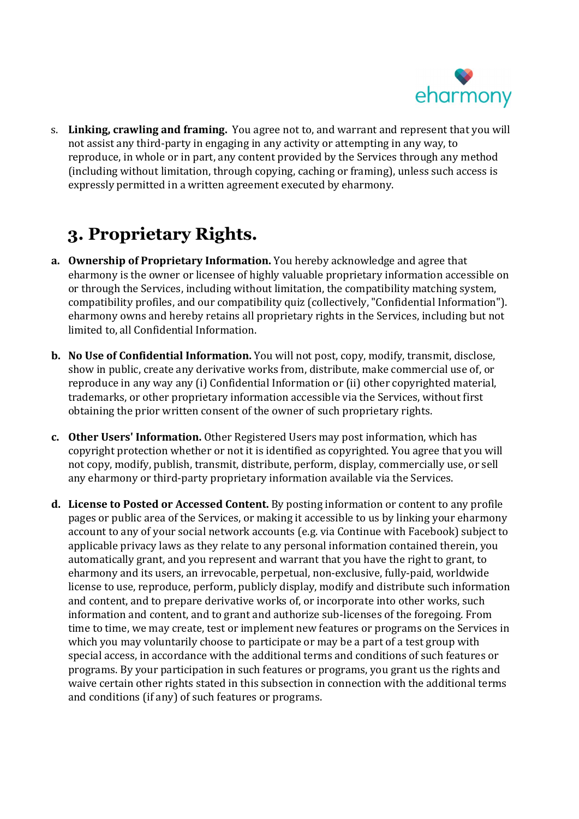

s. Linking, crawling and framing. You agree not to, and warrant and represent that you will not assist any third-party in engaging in any activity or attempting in any way, to reproduce, in whole or in part, any content provided by the Services through any method (including without limitation, through copying, caching or framing), unless such access is expressly permitted in a written agreement executed by eharmony.

# 3. Proprietary Rights.

- a. Ownership of Proprietary Information. You hereby acknowledge and agree that eharmony is the owner or licensee of highly valuable proprietary information accessible on or through the Services, including without limitation, the compatibility matching system, compatibility profiles, and our compatibility quiz (collectively, "Confidential Information"). eharmony owns and hereby retains all proprietary rights in the Services, including but not limited to, all Confidential Information.
- b. No Use of Confidential Information. You will not post, copy, modify, transmit, disclose, show in public, create any derivative works from, distribute, make commercial use of, or reproduce in any way any (i) Confidential Information or (ii) other copyrighted material, trademarks, or other proprietary information accessible via the Services, without first obtaining the prior written consent of the owner of such proprietary rights.
- c. Other Users' Information. Other Registered Users may post information, which has copyright protection whether or not it is identified as copyrighted. You agree that you will not copy, modify, publish, transmit, distribute, perform, display, commercially use, or sell any eharmony or third-party proprietary information available via the Services.
- d. License to Posted or Accessed Content. By posting information or content to any profile pages or public area of the Services, or making it accessible to us by linking your eharmony account to any of your social network accounts (e.g. via Continue with Facebook) subject to applicable privacy laws as they relate to any personal information contained therein, you automatically grant, and you represent and warrant that you have the right to grant, to eharmony and its users, an irrevocable, perpetual, non-exclusive, fully-paid, worldwide license to use, reproduce, perform, publicly display, modify and distribute such information and content, and to prepare derivative works of, or incorporate into other works, such information and content, and to grant and authorize sub-licenses of the foregoing. From time to time, we may create, test or implement new features or programs on the Services in which you may voluntarily choose to participate or may be a part of a test group with special access, in accordance with the additional terms and conditions of such features or programs. By your participation in such features or programs, you grant us the rights and waive certain other rights stated in this subsection in connection with the additional terms and conditions (if any) of such features or programs.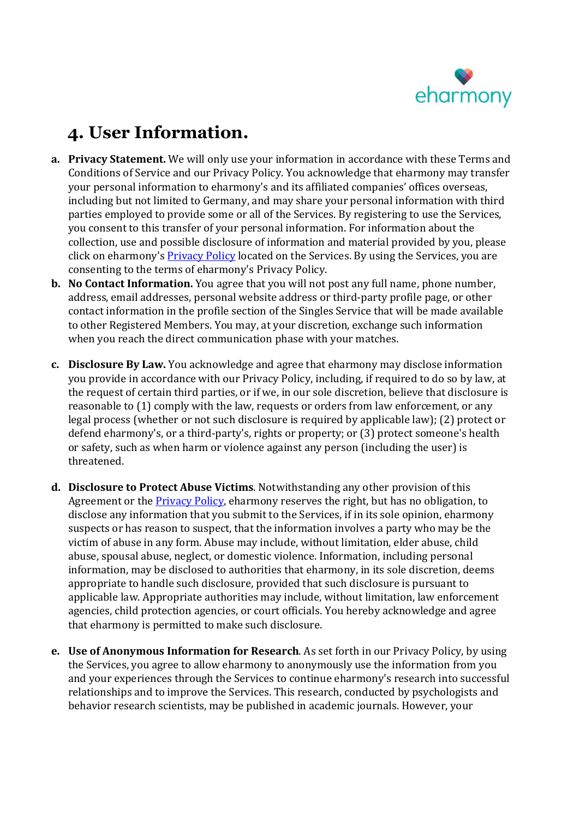

# 4. User Information.

- a. Privacy Statement. We will only use your information in accordance with these Terms and Conditions of Service and our Privacy Policy. You acknowledge that eharmony may transfer your personal information to eharmony's and its affiliated companies' offices overseas, including but not limited to Germany, and may share your personal information with third parties employed to provide some or all of the Services. By registering to use the Services, you consent to this transfer of your personal information. For information about the collection, use and possible disclosure of information and material provided by you, please click on eharmony's Privacy Policy located on the Services. By using the Services, you are consenting to the terms of eharmony's Privacy Policy.
- b. No Contact Information. You agree that you will not post any full name, phone number, address, email addresses, personal website address or third-party profile page, or other contact information in the profile section of the Singles Service that will be made available to other Registered Members. You may, at your discretion, exchange such information when you reach the direct communication phase with your matches.
- c. Disclosure By Law. You acknowledge and agree that eharmony may disclose information you provide in accordance with our Privacy Policy, including, if required to do so by law, at the request of certain third parties, or if we, in our sole discretion, believe that disclosure is reasonable to (1) comply with the law, requests or orders from law enforcement, or any legal process (whether or not such disclosure is required by applicable law); (2) protect or defend eharmony's, or a third-party's, rights or property; or (3) protect someone's health or safety, such as when harm or violence against any person (including the user) is threatened.
- d. Disclosure to Protect Abuse Victims. Notwithstanding any other provision of this Agreement or the **Privacy Policy**, eharmony reserves the right, but has no obligation, to disclose any information that you submit to the Services, if in its sole opinion, eharmony suspects or has reason to suspect, that the information involves a party who may be the victim of abuse in any form. Abuse may include, without limitation, elder abuse, child abuse, spousal abuse, neglect, or domestic violence. Information, including personal information, may be disclosed to authorities that eharmony, in its sole discretion, deems appropriate to handle such disclosure, provided that such disclosure is pursuant to applicable law. Appropriate authorities may include, without limitation, law enforcement agencies, child protection agencies, or court officials. You hereby acknowledge and agree that eharmony is permitted to make such disclosure.
- e. Use of Anonymous Information for Research. As set forth in our Privacy Policy, by using the Services, you agree to allow eharmony to anonymously use the information from you and your experiences through the Services to continue eharmony's research into successful relationships and to improve the Services. This research, conducted by psychologists and behavior research scientists, may be published in academic journals. However, your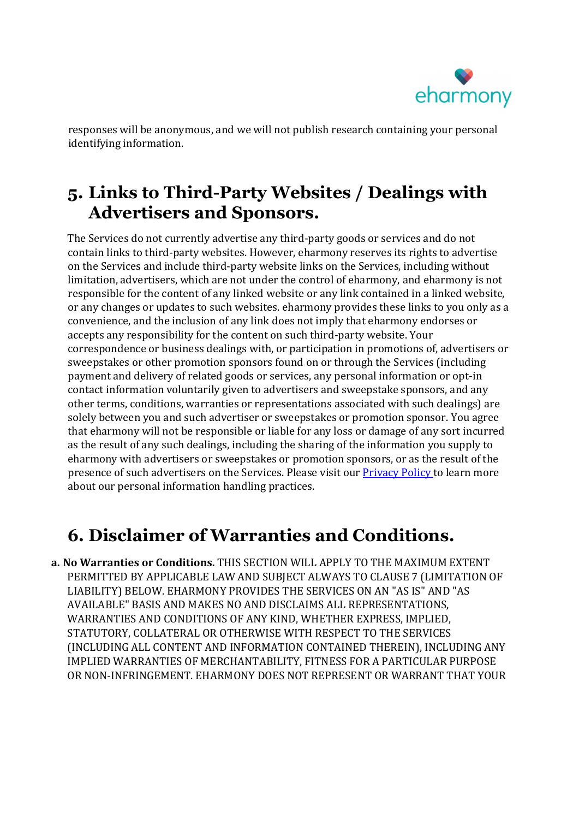

responses will be anonymous, and we will not publish research containing your personal identifying information.

## 5. Links to Third-Party Websites / Dealings with Advertisers and Sponsors.

The Services do not currently advertise any third-party goods or services and do not contain links to third-party websites. However, eharmony reserves its rights to advertise on the Services and include third-party website links on the Services, including without limitation, advertisers, which are not under the control of eharmony, and eharmony is not responsible for the content of any linked website or any link contained in a linked website, or any changes or updates to such websites. eharmony provides these links to you only as a convenience, and the inclusion of any link does not imply that eharmony endorses or accepts any responsibility for the content on such third-party website. Your correspondence or business dealings with, or participation in promotions of, advertisers or sweepstakes or other promotion sponsors found on or through the Services (including payment and delivery of related goods or services, any personal information or opt-in contact information voluntarily given to advertisers and sweepstake sponsors, and any other terms, conditions, warranties or representations associated with such dealings) are solely between you and such advertiser or sweepstakes or promotion sponsor. You agree that eharmony will not be responsible or liable for any loss or damage of any sort incurred as the result of any such dealings, including the sharing of the information you supply to eharmony with advertisers or sweepstakes or promotion sponsors, or as the result of the presence of such advertisers on the Services. Please visit our **Privacy Policy** to learn more about our personal information handling practices.

### 6. Disclaimer of Warranties and Conditions.

a. No Warranties or Conditions. THIS SECTION WILL APPLY TO THE MAXIMUM EXTENT PERMITTED BY APPLICABLE LAW AND SUBJECT ALWAYS TO CLAUSE 7 (LIMITATION OF LIABILITY) BELOW. EHARMONY PROVIDES THE SERVICES ON AN "AS IS" AND "AS AVAILABLE" BASIS AND MAKES NO AND DISCLAIMS ALL REPRESENTATIONS, WARRANTIES AND CONDITIONS OF ANY KIND, WHETHER EXPRESS, IMPLIED, STATUTORY, COLLATERAL OR OTHERWISE WITH RESPECT TO THE SERVICES (INCLUDING ALL CONTENT AND INFORMATION CONTAINED THEREIN), INCLUDING ANY IMPLIED WARRANTIES OF MERCHANTABILITY, FITNESS FOR A PARTICULAR PURPOSE OR NON-INFRINGEMENT. EHARMONY DOES NOT REPRESENT OR WARRANT THAT YOUR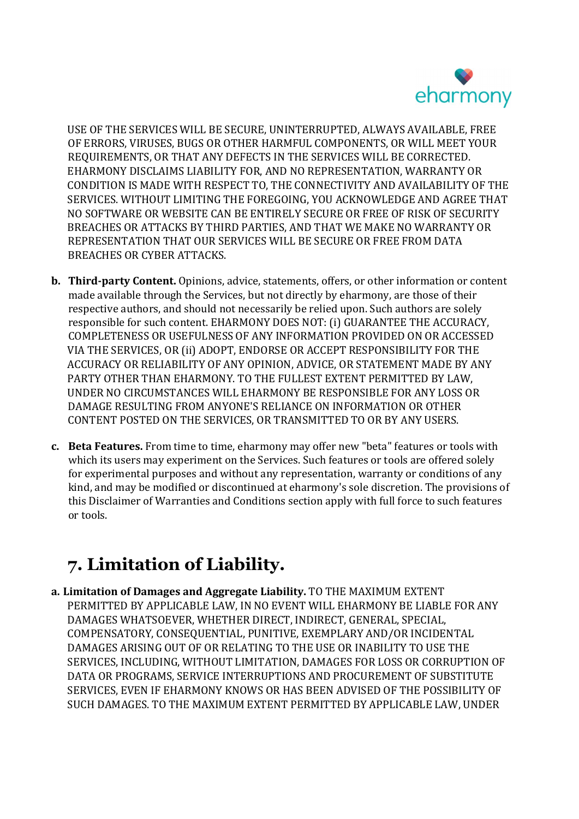

USE OF THE SERVICES WILL BE SECURE, UNINTERRUPTED, ALWAYS AVAILABLE, FREE OF ERRORS, VIRUSES, BUGS OR OTHER HARMFUL COMPONENTS, OR WILL MEET YOUR REQUIREMENTS, OR THAT ANY DEFECTS IN THE SERVICES WILL BE CORRECTED. EHARMONY DISCLAIMS LIABILITY FOR, AND NO REPRESENTATION, WARRANTY OR CONDITION IS MADE WITH RESPECT TO, THE CONNECTIVITY AND AVAILABILITY OF THE SERVICES. WITHOUT LIMITING THE FOREGOING, YOU ACKNOWLEDGE AND AGREE THAT NO SOFTWARE OR WEBSITE CAN BE ENTIRELY SECURE OR FREE OF RISK OF SECURITY BREACHES OR ATTACKS BY THIRD PARTIES, AND THAT WE MAKE NO WARRANTY OR REPRESENTATION THAT OUR SERVICES WILL BE SECURE OR FREE FROM DATA BREACHES OR CYBER ATTACKS.

- b. Third-party Content. Opinions, advice, statements, offers, or other information or content made available through the Services, but not directly by eharmony, are those of their respective authors, and should not necessarily be relied upon. Such authors are solely responsible for such content. EHARMONY DOES NOT: (i) GUARANTEE THE ACCURACY, COMPLETENESS OR USEFULNESS OF ANY INFORMATION PROVIDED ON OR ACCESSED VIA THE SERVICES, OR (ii) ADOPT, ENDORSE OR ACCEPT RESPONSIBILITY FOR THE ACCURACY OR RELIABILITY OF ANY OPINION, ADVICE, OR STATEMENT MADE BY ANY PARTY OTHER THAN EHARMONY. TO THE FULLEST EXTENT PERMITTED BY LAW, UNDER NO CIRCUMSTANCES WILL EHARMONY BE RESPONSIBLE FOR ANY LOSS OR DAMAGE RESULTING FROM ANYONE'S RELIANCE ON INFORMATION OR OTHER CONTENT POSTED ON THE SERVICES, OR TRANSMITTED TO OR BY ANY USERS.
- c. Beta Features. From time to time, eharmony may offer new "beta" features or tools with which its users may experiment on the Services. Such features or tools are offered solely for experimental purposes and without any representation, warranty or conditions of any kind, and may be modified or discontinued at eharmony's sole discretion. The provisions of this Disclaimer of Warranties and Conditions section apply with full force to such features or tools.

# 7. Limitation of Liability.

a. Limitation of Damages and Aggregate Liability. TO THE MAXIMUM EXTENT PERMITTED BY APPLICABLE LAW, IN NO EVENT WILL EHARMONY BE LIABLE FOR ANY DAMAGES WHATSOEVER, WHETHER DIRECT, INDIRECT, GENERAL, SPECIAL, COMPENSATORY, CONSEQUENTIAL, PUNITIVE, EXEMPLARY AND/OR INCIDENTAL DAMAGES ARISING OUT OF OR RELATING TO THE USE OR INABILITY TO USE THE SERVICES, INCLUDING, WITHOUT LIMITATION, DAMAGES FOR LOSS OR CORRUPTION OF DATA OR PROGRAMS, SERVICE INTERRUPTIONS AND PROCUREMENT OF SUBSTITUTE SERVICES, EVEN IF EHARMONY KNOWS OR HAS BEEN ADVISED OF THE POSSIBILITY OF SUCH DAMAGES. TO THE MAXIMUM EXTENT PERMITTED BY APPLICABLE LAW, UNDER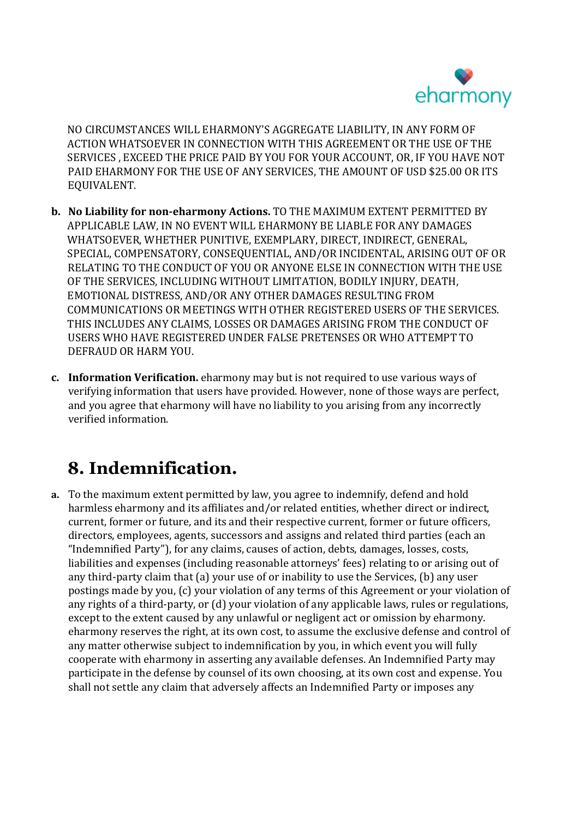

NO CIRCUMSTANCES WILL EHARMONY'S AGGREGATE LIABILITY, IN ANY FORM OF ACTION WHATSOEVER IN CONNECTION WITH THIS AGREEMENT OR THE USE OF THE SERVICES , EXCEED THE PRICE PAID BY YOU FOR YOUR ACCOUNT, OR, IF YOU HAVE NOT PAID EHARMONY FOR THE USE OF ANY SERVICES, THE AMOUNT OF USD \$25.00 OR ITS EQUIVALENT.

- b. No Liability for non-eharmony Actions. TO THE MAXIMUM EXTENT PERMITTED BY APPLICABLE LAW, IN NO EVENT WILL EHARMONY BE LIABLE FOR ANY DAMAGES WHATSOEVER, WHETHER PUNITIVE, EXEMPLARY, DIRECT, INDIRECT, GENERAL, SPECIAL, COMPENSATORY, CONSEQUENTIAL, AND/OR INCIDENTAL, ARISING OUT OF OR RELATING TO THE CONDUCT OF YOU OR ANYONE ELSE IN CONNECTION WITH THE USE OF THE SERVICES, INCLUDING WITHOUT LIMITATION, BODILY INJURY, DEATH, EMOTIONAL DISTRESS, AND/OR ANY OTHER DAMAGES RESULTING FROM COMMUNICATIONS OR MEETINGS WITH OTHER REGISTERED USERS OF THE SERVICES. THIS INCLUDES ANY CLAIMS, LOSSES OR DAMAGES ARISING FROM THE CONDUCT OF USERS WHO HAVE REGISTERED UNDER FALSE PRETENSES OR WHO ATTEMPT TO DEFRAUD OR HARM YOU.
- c. Information Verification. eharmony may but is not required to use various ways of verifying information that users have provided. However, none of those ways are perfect, and you agree that eharmony will have no liability to you arising from any incorrectly verified information.

# 8. Indemnification.

a. To the maximum extent permitted by law, you agree to indemnify, defend and hold harmless eharmony and its affiliates and/or related entities, whether direct or indirect, current, former or future, and its and their respective current, former or future officers, directors, employees, agents, successors and assigns and related third parties (each an "Indemnified Party"), for any claims, causes of action, debts, damages, losses, costs, liabilities and expenses (including reasonable attorneys' fees) relating to or arising out of any third-party claim that (a) your use of or inability to use the Services, (b) any user postings made by you, (c) your violation of any terms of this Agreement or your violation of any rights of a third-party, or (d) your violation of any applicable laws, rules or regulations, except to the extent caused by any unlawful or negligent act or omission by eharmony. eharmony reserves the right, at its own cost, to assume the exclusive defense and control of any matter otherwise subject to indemnification by you, in which event you will fully cooperate with eharmony in asserting any available defenses. An Indemnified Party may participate in the defense by counsel of its own choosing, at its own cost and expense. You shall not settle any claim that adversely affects an Indemnified Party or imposes any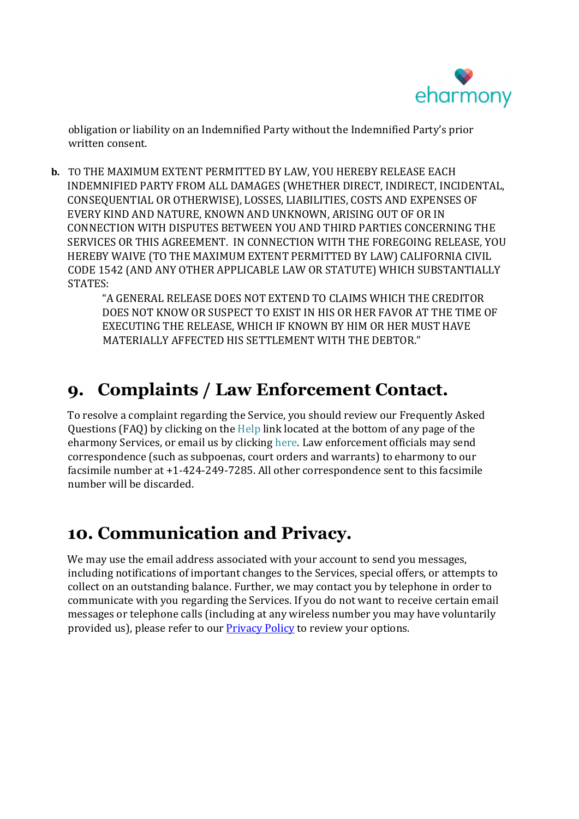

obligation or liability on an Indemnified Party without the Indemnified Party's prior written consent.

b. TO THE MAXIMUM EXTENT PERMITTED BY LAW, YOU HEREBY RELEASE EACH INDEMNIFIED PARTY FROM ALL DAMAGES (WHETHER DIRECT, INDIRECT, INCIDENTAL, CONSEQUENTIAL OR OTHERWISE), LOSSES, LIABILITIES, COSTS AND EXPENSES OF EVERY KIND AND NATURE, KNOWN AND UNKNOWN, ARISING OUT OF OR IN CONNECTION WITH DISPUTES BETWEEN YOU AND THIRD PARTIES CONCERNING THE SERVICES OR THIS AGREEMENT. IN CONNECTION WITH THE FOREGOING RELEASE, YOU HEREBY WAIVE (TO THE MAXIMUM EXTENT PERMITTED BY LAW) CALIFORNIA CIVIL CODE 1542 (AND ANY OTHER APPLICABLE LAW OR STATUTE) WHICH SUBSTANTIALLY STATES:

> "A GENERAL RELEASE DOES NOT EXTEND TO CLAIMS WHICH THE CREDITOR DOES NOT KNOW OR SUSPECT TO EXIST IN HIS OR HER FAVOR AT THE TIME OF EXECUTING THE RELEASE, WHICH IF KNOWN BY HIM OR HER MUST HAVE MATERIALLY AFFECTED HIS SETTLEMENT WITH THE DEBTOR."

# 9. Complaints / Law Enforcement Contact.

To resolve a complaint regarding the Service, you should review our Frequently Asked Questions (FAQ) by clicking on the Help link located at the bottom of any page of the eharmony Services, or email us by clicking here. Law enforcement officials may send correspondence (such as subpoenas, court orders and warrants) to eharmony to our facsimile number at +1-424-249-7285. All other correspondence sent to this facsimile number will be discarded.

## 10. Communication and Privacy.

We may use the email address associated with your account to send you messages, including notifications of important changes to the Services, special offers, or attempts to collect on an outstanding balance. Further, we may contact you by telephone in order to communicate with you regarding the Services. If you do not want to receive certain email messages or telephone calls (including at any wireless number you may have voluntarily provided us), please refer to our Privacy Policy to review your options.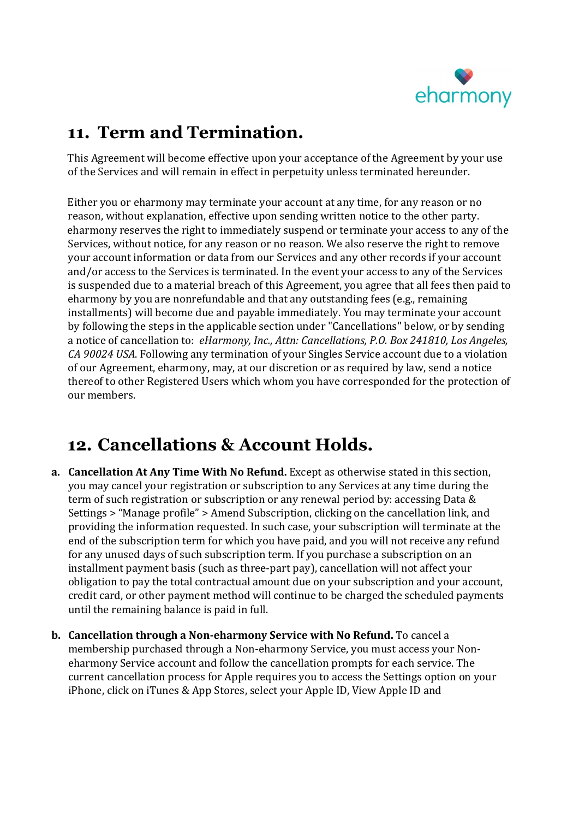

## 11. Term and Termination.

This Agreement will become effective upon your acceptance of the Agreement by your use of the Services and will remain in effect in perpetuity unless terminated hereunder.

Either you or eharmony may terminate your account at any time, for any reason or no reason, without explanation, effective upon sending written notice to the other party. eharmony reserves the right to immediately suspend or terminate your access to any of the Services, without notice, for any reason or no reason. We also reserve the right to remove your account information or data from our Services and any other records if your account and/or access to the Services is terminated. In the event your access to any of the Services is suspended due to a material breach of this Agreement, you agree that all fees then paid to eharmony by you are nonrefundable and that any outstanding fees (e.g., remaining installments) will become due and payable immediately. You may terminate your account by following the steps in the applicable section under "Cancellations" below, or by sending a notice of cancellation to: eHarmony, Inc., Attn: Cancellations, P.O. Box 241810, Los Angeles, CA 90024 USA. Following any termination of your Singles Service account due to a violation of our Agreement, eharmony, may, at our discretion or as required by law, send a notice thereof to other Registered Users which whom you have corresponded for the protection of our members.

## 12. Cancellations & Account Holds.

- a. Cancellation At Any Time With No Refund. Except as otherwise stated in this section, you may cancel your registration or subscription to any Services at any time during the term of such registration or subscription or any renewal period by: accessing Data & Settings > "Manage profile" > Amend Subscription, clicking on the cancellation link, and providing the information requested. In such case, your subscription will terminate at the end of the subscription term for which you have paid, and you will not receive any refund for any unused days of such subscription term. If you purchase a subscription on an installment payment basis (such as three-part pay), cancellation will not affect your obligation to pay the total contractual amount due on your subscription and your account, credit card, or other payment method will continue to be charged the scheduled payments until the remaining balance is paid in full.
- b. Cancellation through a Non-eharmony Service with No Refund. To cancel a membership purchased through a Non-eharmony Service, you must access your Noneharmony Service account and follow the cancellation prompts for each service. The current cancellation process for Apple requires you to access the Settings option on your iPhone, click on iTunes & App Stores, select your Apple ID, View Apple ID and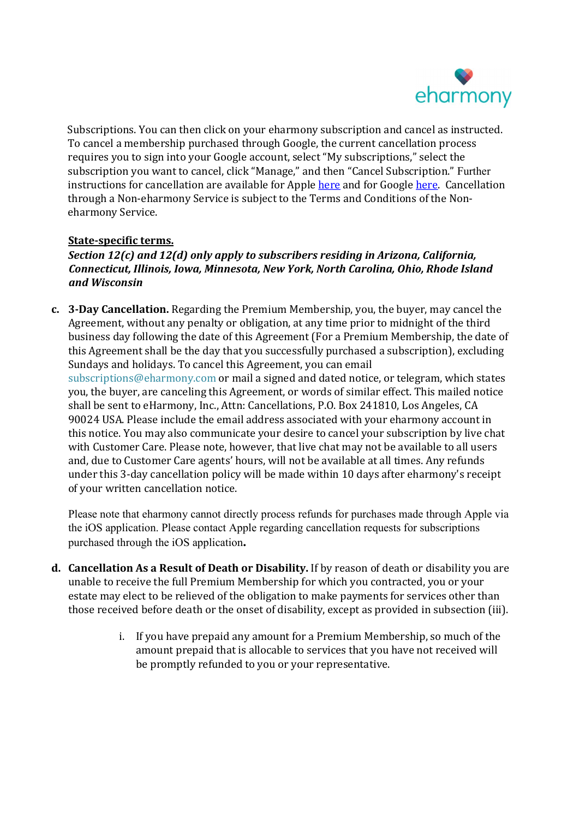

Subscriptions. You can then click on your eharmony subscription and cancel as instructed. To cancel a membership purchased through Google, the current cancellation process requires you to sign into your Google account, select "My subscriptions," select the subscription you want to cancel, click "Manage," and then "Cancel Subscription." Further instructions for cancellation are available for Apple here and for Google here. Cancellation through a Non-eharmony Service is subject to the Terms and Conditions of the Noneharmony Service.

#### State-specific terms.

#### Section 12(c) and 12(d) only apply to subscribers residing in Arizona, California, Connecticut, Illinois, Iowa, Minnesota, New York, North Carolina, Ohio, Rhode Island and Wisconsin

c. 3-Day Cancellation. Regarding the Premium Membership, you, the buyer, may cancel the Agreement, without any penalty or obligation, at any time prior to midnight of the third business day following the date of this Agreement (For a Premium Membership, the date of this Agreement shall be the day that you successfully purchased a subscription), excluding Sundays and holidays. To cancel this Agreement, you can email subscriptions@eharmony.com or mail a signed and dated notice, or telegram, which states you, the buyer, are canceling this Agreement, or words of similar effect. This mailed notice shall be sent to eHarmony, Inc., Attn: Cancellations, P.O. Box 241810, Los Angeles, CA 90024 USA. Please include the email address associated with your eharmony account in this notice. You may also communicate your desire to cancel your subscription by live chat with Customer Care. Please note, however, that live chat may not be available to all users and, due to Customer Care agents' hours, will not be available at all times. Any refunds under this 3-day cancellation policy will be made within 10 days after eharmony's receipt of your written cancellation notice.

Please note that eharmony cannot directly process refunds for purchases made through Apple via the iOS application. Please contact Apple regarding cancellation requests for subscriptions purchased through the iOS application.

- d. Cancellation As a Result of Death or Disability. If by reason of death or disability you are unable to receive the full Premium Membership for which you contracted, you or your estate may elect to be relieved of the obligation to make payments for services other than those received before death or the onset of disability, except as provided in subsection (iii).
	- i. If you have prepaid any amount for a Premium Membership, so much of the amount prepaid that is allocable to services that you have not received will be promptly refunded to you or your representative.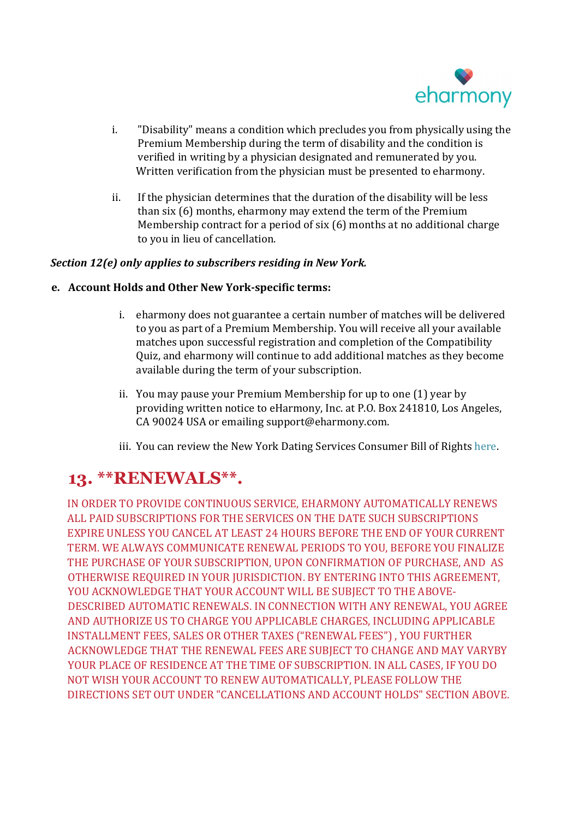

- i. "Disability" means a condition which precludes you from physically using the Premium Membership during the term of disability and the condition is verified in writing by a physician designated and remunerated by you. Written verification from the physician must be presented to eharmony.
- ii. If the physician determines that the duration of the disability will be less than six (6) months, eharmony may extend the term of the Premium Membership contract for a period of six (6) months at no additional charge to you in lieu of cancellation.

#### Section 12(e) only applies to subscribers residing in New York.

#### e. Account Holds and Other New York-specific terms:

- i. eharmony does not guarantee a certain number of matches will be delivered to you as part of a Premium Membership. You will receive all your available matches upon successful registration and completion of the Compatibility Quiz, and eharmony will continue to add additional matches as they become available during the term of your subscription.
- ii. You may pause your Premium Membership for up to one (1) year by providing written notice to eHarmony, Inc. at P.O. Box 241810, Los Angeles, CA 90024 USA or emailing support@eharmony.com.
- iii. You can review the New York Dating Services Consumer Bill of Rights here.

#### 13. \*\*RENEWALS\*\*.

IN ORDER TO PROVIDE CONTINUOUS SERVICE, EHARMONY AUTOMATICALLY RENEWS ALL PAID SUBSCRIPTIONS FOR THE SERVICES ON THE DATE SUCH SUBSCRIPTIONS EXPIRE UNLESS YOU CANCEL AT LEAST 24 HOURS BEFORE THE END OF YOUR CURRENT TERM. WE ALWAYS COMMUNICATE RENEWAL PERIODS TO YOU, BEFORE YOU FINALIZE THE PURCHASE OF YOUR SUBSCRIPTION, UPON CONFIRMATION OF PURCHASE, AND AS OTHERWISE REQUIRED IN YOUR JURISDICTION. BY ENTERING INTO THIS AGREEMENT, YOU ACKNOWLEDGE THAT YOUR ACCOUNT WILL BE SUBJECT TO THE ABOVE-DESCRIBED AUTOMATIC RENEWALS. IN CONNECTION WITH ANY RENEWAL, YOU AGREE AND AUTHORIZE US TO CHARGE YOU APPLICABLE CHARGES, INCLUDING APPLICABLE INSTALLMENT FEES, SALES OR OTHER TAXES ("RENEWAL FEES") , YOU FURTHER ACKNOWLEDGE THAT THE RENEWAL FEES ARE SUBJECT TO CHANGE AND MAY VARYBY YOUR PLACE OF RESIDENCE AT THE TIME OF SUBSCRIPTION. IN ALL CASES, IF YOU DO NOT WISH YOUR ACCOUNT TO RENEW AUTOMATICALLY, PLEASE FOLLOW THE DIRECTIONS SET OUT UNDER "CANCELLATIONS AND ACCOUNT HOLDS" SECTION ABOVE.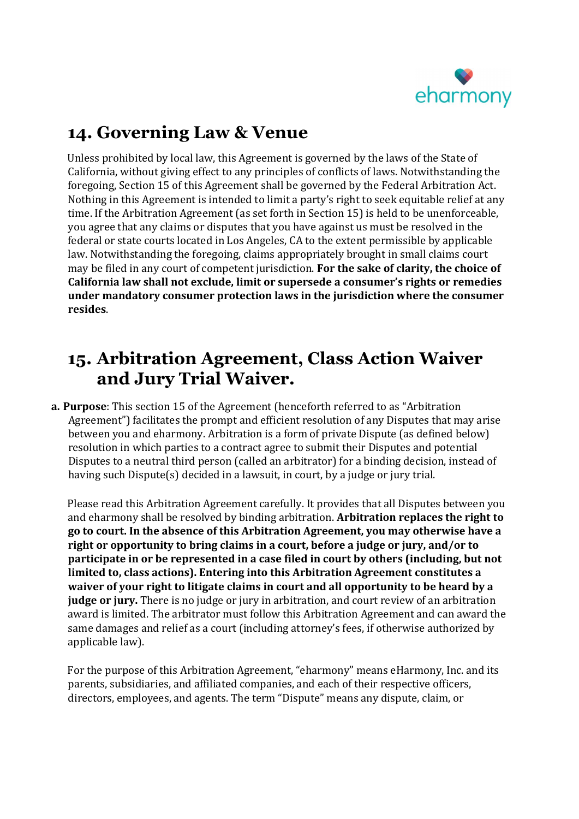

## 14. Governing Law & Venue

Unless prohibited by local law, this Agreement is governed by the laws of the State of California, without giving effect to any principles of conflicts of laws. Notwithstanding the foregoing, Section 15 of this Agreement shall be governed by the Federal Arbitration Act. Nothing in this Agreement is intended to limit a party's right to seek equitable relief at any time. If the Arbitration Agreement (as set forth in Section 15) is held to be unenforceable, you agree that any claims or disputes that you have against us must be resolved in the federal or state courts located in Los Angeles, CA to the extent permissible by applicable law. Notwithstanding the foregoing, claims appropriately brought in small claims court may be filed in any court of competent jurisdiction. For the sake of clarity, the choice of California law shall not exclude, limit or supersede a consumer's rights or remedies under mandatory consumer protection laws in the jurisdiction where the consumer resides.

## 15. Arbitration Agreement, Class Action Waiver and Jury Trial Waiver.

a. Purpose: This section 15 of the Agreement (henceforth referred to as "Arbitration Agreement") facilitates the prompt and efficient resolution of any Disputes that may arise between you and eharmony. Arbitration is a form of private Dispute (as defined below) resolution in which parties to a contract agree to submit their Disputes and potential Disputes to a neutral third person (called an arbitrator) for a binding decision, instead of having such Dispute(s) decided in a lawsuit, in court, by a judge or jury trial.

 Please read this Arbitration Agreement carefully. It provides that all Disputes between you and eharmony shall be resolved by binding arbitration. Arbitration replaces the right to go to court. In the absence of this Arbitration Agreement, you may otherwise have a right or opportunity to bring claims in a court, before a judge or jury, and/or to participate in or be represented in a case filed in court by others (including, but not limited to, class actions). Entering into this Arbitration Agreement constitutes a waiver of your right to litigate claims in court and all opportunity to be heard by a judge or jury. There is no judge or jury in arbitration, and court review of an arbitration award is limited. The arbitrator must follow this Arbitration Agreement and can award the same damages and relief as a court (including attorney's fees, if otherwise authorized by applicable law).

 For the purpose of this Arbitration Agreement, "eharmony" means eHarmony, Inc. and its parents, subsidiaries, and affiliated companies, and each of their respective officers, directors, employees, and agents. The term "Dispute" means any dispute, claim, or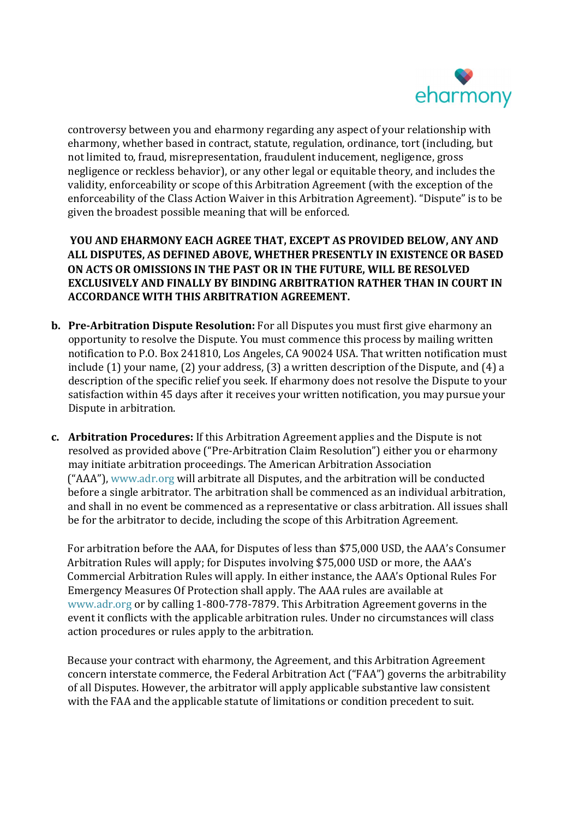

controversy between you and eharmony regarding any aspect of your relationship with eharmony, whether based in contract, statute, regulation, ordinance, tort (including, but not limited to, fraud, misrepresentation, fraudulent inducement, negligence, gross negligence or reckless behavior), or any other legal or equitable theory, and includes the validity, enforceability or scope of this Arbitration Agreement (with the exception of the enforceability of the Class Action Waiver in this Arbitration Agreement). "Dispute" is to be given the broadest possible meaning that will be enforced.

 YOU AND EHARMONY EACH AGREE THAT, EXCEPT AS PROVIDED BELOW, ANY AND ALL DISPUTES, AS DEFINED ABOVE, WHETHER PRESENTLY IN EXISTENCE OR BASED ON ACTS OR OMISSIONS IN THE PAST OR IN THE FUTURE, WILL BE RESOLVED EXCLUSIVELY AND FINALLY BY BINDING ARBITRATION RATHER THAN IN COURT IN ACCORDANCE WITH THIS ARBITRATION AGREEMENT.

- b. Pre-Arbitration Dispute Resolution: For all Disputes you must first give eharmony an opportunity to resolve the Dispute. You must commence this process by mailing written notification to P.O. Box 241810, Los Angeles, CA 90024 USA. That written notification must include (1) your name, (2) your address, (3) a written description of the Dispute, and (4) a description of the specific relief you seek. If eharmony does not resolve the Dispute to your satisfaction within 45 days after it receives your written notification, you may pursue your Dispute in arbitration.
- c. Arbitration Procedures: If this Arbitration Agreement applies and the Dispute is not resolved as provided above ("Pre-Arbitration Claim Resolution") either you or eharmony may initiate arbitration proceedings. The American Arbitration Association ("AAA"), www.adr.org will arbitrate all Disputes, and the arbitration will be conducted before a single arbitrator. The arbitration shall be commenced as an individual arbitration, and shall in no event be commenced as a representative or class arbitration. All issues shall be for the arbitrator to decide, including the scope of this Arbitration Agreement.

 For arbitration before the AAA, for Disputes of less than \$75,000 USD, the AAA's Consumer Arbitration Rules will apply; for Disputes involving \$75,000 USD or more, the AAA's Commercial Arbitration Rules will apply. In either instance, the AAA's Optional Rules For Emergency Measures Of Protection shall apply. The AAA rules are available at www.adr.org or by calling 1-800-778-7879. This Arbitration Agreement governs in the event it conflicts with the applicable arbitration rules. Under no circumstances will class action procedures or rules apply to the arbitration.

 Because your contract with eharmony, the Agreement, and this Arbitration Agreement concern interstate commerce, the Federal Arbitration Act ("FAA") governs the arbitrability of all Disputes. However, the arbitrator will apply applicable substantive law consistent with the FAA and the applicable statute of limitations or condition precedent to suit.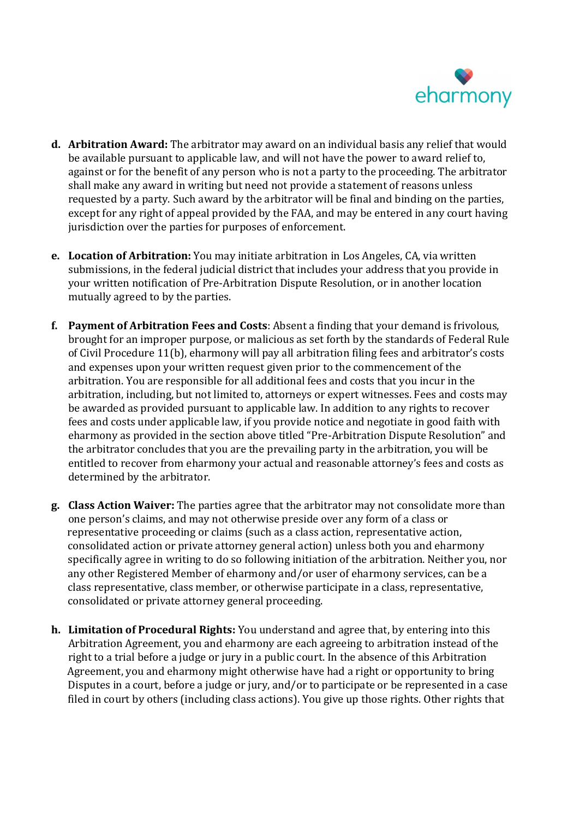

- d. Arbitration Award: The arbitrator may award on an individual basis any relief that would be available pursuant to applicable law, and will not have the power to award relief to, against or for the benefit of any person who is not a party to the proceeding. The arbitrator shall make any award in writing but need not provide a statement of reasons unless requested by a party. Such award by the arbitrator will be final and binding on the parties, except for any right of appeal provided by the FAA, and may be entered in any court having jurisdiction over the parties for purposes of enforcement.
- e. Location of Arbitration: You may initiate arbitration in Los Angeles, CA, via written submissions, in the federal judicial district that includes your address that you provide in your written notification of Pre-Arbitration Dispute Resolution, or in another location mutually agreed to by the parties.
- f. Payment of Arbitration Fees and Costs: Absent a finding that your demand is frivolous, brought for an improper purpose, or malicious as set forth by the standards of Federal Rule of Civil Procedure 11(b), eharmony will pay all arbitration filing fees and arbitrator's costs and expenses upon your written request given prior to the commencement of the arbitration. You are responsible for all additional fees and costs that you incur in the arbitration, including, but not limited to, attorneys or expert witnesses. Fees and costs may be awarded as provided pursuant to applicable law. In addition to any rights to recover fees and costs under applicable law, if you provide notice and negotiate in good faith with eharmony as provided in the section above titled "Pre-Arbitration Dispute Resolution" and the arbitrator concludes that you are the prevailing party in the arbitration, you will be entitled to recover from eharmony your actual and reasonable attorney's fees and costs as determined by the arbitrator.
- g. Class Action Waiver: The parties agree that the arbitrator may not consolidate more than one person's claims, and may not otherwise preside over any form of a class or representative proceeding or claims (such as a class action, representative action, consolidated action or private attorney general action) unless both you and eharmony specifically agree in writing to do so following initiation of the arbitration. Neither you, nor any other Registered Member of eharmony and/or user of eharmony services, can be a class representative, class member, or otherwise participate in a class, representative, consolidated or private attorney general proceeding.
- h. Limitation of Procedural Rights: You understand and agree that, by entering into this Arbitration Agreement, you and eharmony are each agreeing to arbitration instead of the right to a trial before a judge or jury in a public court. In the absence of this Arbitration Agreement, you and eharmony might otherwise have had a right or opportunity to bring Disputes in a court, before a judge or jury, and/or to participate or be represented in a case filed in court by others (including class actions). You give up those rights. Other rights that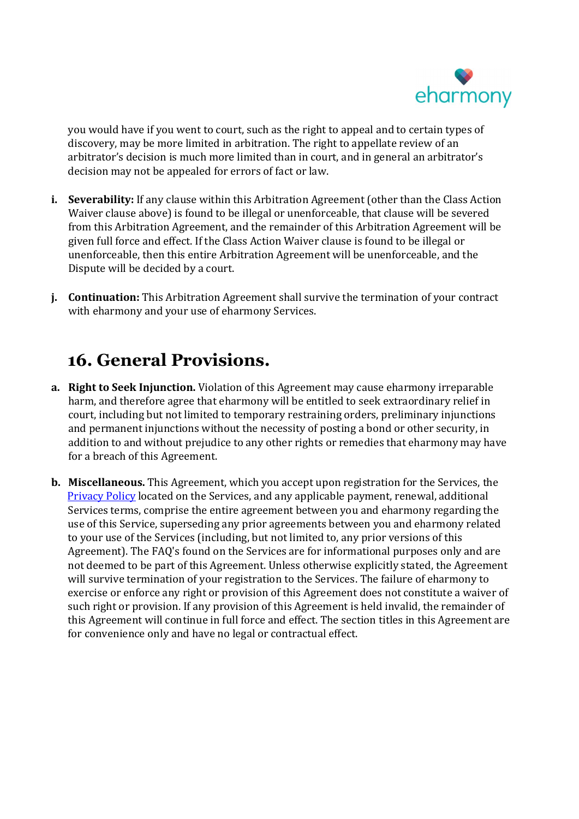

you would have if you went to court, such as the right to appeal and to certain types of discovery, may be more limited in arbitration. The right to appellate review of an arbitrator's decision is much more limited than in court, and in general an arbitrator's decision may not be appealed for errors of fact or law.

- i. Severability: If any clause within this Arbitration Agreement (other than the Class Action Waiver clause above) is found to be illegal or unenforceable, that clause will be severed from this Arbitration Agreement, and the remainder of this Arbitration Agreement will be given full force and effect. If the Class Action Waiver clause is found to be illegal or unenforceable, then this entire Arbitration Agreement will be unenforceable, and the Dispute will be decided by a court.
- j. Continuation: This Arbitration Agreement shall survive the termination of your contract with eharmony and your use of eharmony Services.

### 16. General Provisions.

- a. Right to Seek Injunction. Violation of this Agreement may cause eharmony irreparable harm, and therefore agree that eharmony will be entitled to seek extraordinary relief in court, including but not limited to temporary restraining orders, preliminary injunctions and permanent injunctions without the necessity of posting a bond or other security, in addition to and without prejudice to any other rights or remedies that eharmony may have for a breach of this Agreement.
- b. Miscellaneous. This Agreement, which you accept upon registration for the Services, the Privacy Policy located on the Services, and any applicable payment, renewal, additional Services terms, comprise the entire agreement between you and eharmony regarding the use of this Service, superseding any prior agreements between you and eharmony related to your use of the Services (including, but not limited to, any prior versions of this Agreement). The FAQ's found on the Services are for informational purposes only and are not deemed to be part of this Agreement. Unless otherwise explicitly stated, the Agreement will survive termination of your registration to the Services. The failure of eharmony to exercise or enforce any right or provision of this Agreement does not constitute a waiver of such right or provision. If any provision of this Agreement is held invalid, the remainder of this Agreement will continue in full force and effect. The section titles in this Agreement are for convenience only and have no legal or contractual effect.